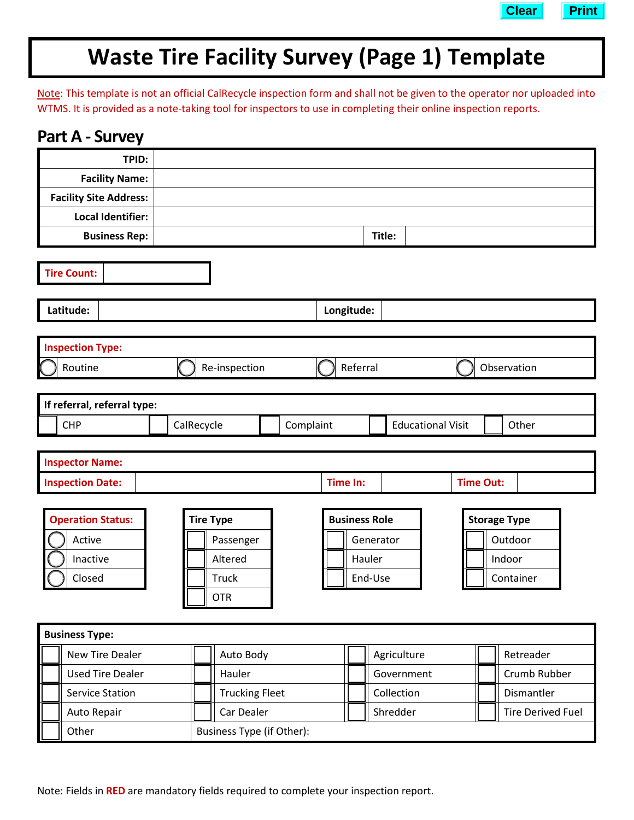

# **Waste Tire Facility Survey (Page 1) Template**

Note: This template is not an official CalRecycle inspection form and shall not be given to the operator nor uploaded into WTMS. It is provided as a note-taking tool for inspectors to use in completing their online inspection reports.

| <b>Part A - Survey</b>        |                                  |           |                          |                          |                     |                          |
|-------------------------------|----------------------------------|-----------|--------------------------|--------------------------|---------------------|--------------------------|
| TPID:                         |                                  |           |                          |                          |                     |                          |
| <b>Facility Name:</b>         |                                  |           |                          |                          |                     |                          |
| <b>Facility Site Address:</b> |                                  |           |                          |                          |                     |                          |
| Local Identifier:             |                                  |           |                          |                          |                     |                          |
| <b>Business Rep:</b>          |                                  |           | Title:                   |                          |                     |                          |
| <b>Tire Count:</b>            |                                  |           |                          |                          |                     |                          |
| Latitude:                     |                                  |           | Longitude:               |                          |                     |                          |
|                               |                                  |           |                          |                          |                     |                          |
| <b>Inspection Type:</b>       |                                  |           |                          |                          |                     |                          |
| Routine                       | Re-inspection                    |           | Referral                 |                          | Observation         |                          |
|                               |                                  |           |                          |                          |                     |                          |
| If referral, referral type:   |                                  |           |                          |                          |                     |                          |
| <b>CHP</b>                    | CalRecycle                       | Complaint | <b>Educational Visit</b> |                          | Other               |                          |
| <b>Inspector Name:</b>        |                                  |           |                          |                          |                     |                          |
| <b>Inspection Date:</b>       |                                  |           | <b>Time In:</b>          |                          | <b>Time Out:</b>    |                          |
|                               |                                  |           |                          |                          |                     |                          |
| <b>Operation Status:</b>      | <b>Tire Type</b>                 |           | <b>Business Role</b>     |                          | <b>Storage Type</b> |                          |
| Active                        | Passenger                        |           | Generator                |                          | Outdoor             |                          |
| Inactive                      | Altered                          |           | Hauler                   |                          | Indoor              |                          |
| Closed                        | <b>Truck</b>                     |           | End-Use                  |                          |                     | Container                |
|                               | Ⅱ<br><b>OTR</b>                  |           |                          |                          |                     |                          |
|                               |                                  |           |                          |                          |                     |                          |
| <b>Business Type:</b>         |                                  |           |                          |                          |                     |                          |
| <b>New Tire Dealer</b>        | Auto Body                        |           |                          | Agriculture              |                     | Retreader                |
| <b>Used Tire Dealer</b>       | Hauler                           |           |                          | Government               |                     | Crumb Rubber             |
| <b>Service Station</b>        | <b>Trucking Fleet</b>            |           |                          | Collection<br>Dismantler |                     |                          |
| Auto Repair                   | Car Dealer                       |           |                          | Shredder                 |                     | <b>Tire Derived Fuel</b> |
| Other                         | <b>Business Type (if Other):</b> |           |                          |                          |                     |                          |

Note: Fields in **RED** are mandatory fields required to complete your inspection report.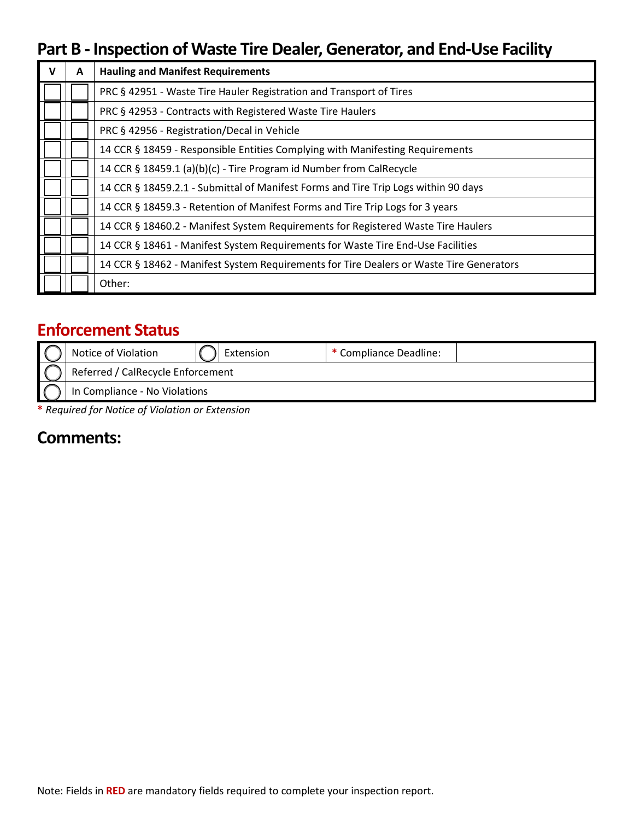## **Part B - Inspection of Waste Tire Dealer, Generator, and End-Use Facility**

| v | A | <b>Hauling and Manifest Requirements</b>                                                |
|---|---|-----------------------------------------------------------------------------------------|
|   |   | PRC § 42951 - Waste Tire Hauler Registration and Transport of Tires                     |
|   |   | PRC § 42953 - Contracts with Registered Waste Tire Haulers                              |
|   |   | PRC § 42956 - Registration/Decal in Vehicle                                             |
|   |   | 14 CCR § 18459 - Responsible Entities Complying with Manifesting Requirements           |
|   |   | 14 CCR § 18459.1 (a)(b)(c) - Tire Program id Number from CalRecycle                     |
|   |   | 14 CCR § 18459.2.1 - Submittal of Manifest Forms and Tire Trip Logs within 90 days      |
|   |   | 14 CCR § 18459.3 - Retention of Manifest Forms and Tire Trip Logs for 3 years           |
|   |   | 14 CCR § 18460.2 - Manifest System Requirements for Registered Waste Tire Haulers       |
|   |   | 14 CCR § 18461 - Manifest System Requirements for Waste Tire End-Use Facilities         |
|   |   | 14 CCR § 18462 - Manifest System Requirements for Tire Dealers or Waste Tire Generators |
|   |   | Other:                                                                                  |

## **Enforcement Status**

| Notice of Violation               | Extension | * Compliance Deadline: |  |  |
|-----------------------------------|-----------|------------------------|--|--|
| Referred / CalRecycle Enforcement |           |                        |  |  |
| In Compliance - No Violations     |           |                        |  |  |

**\*** *Required for Notice of Violation or Extension*

#### **Comments:**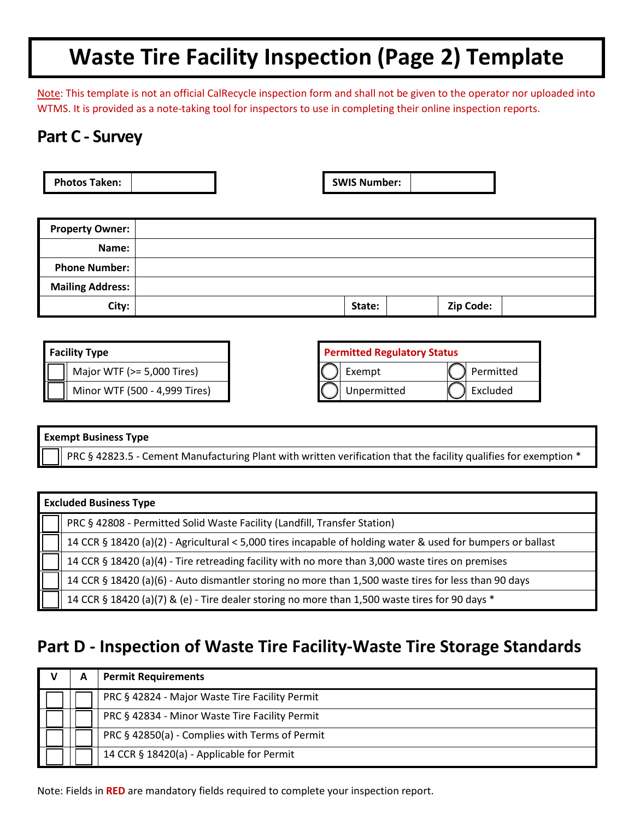# **Waste Tire Facility Inspection (Page 2) Template**

Note: This template is not an official CalRecycle inspection form and shall not be given to the operator nor uploaded into WTMS. It is provided as a note-taking tool for inspectors to use in completing their online inspection reports.

### **Part C - Survey**

| <b>Photos Taken:</b> |  | <b>SWIS Number:</b> |  |
|----------------------|--|---------------------|--|
|                      |  |                     |  |

| <b>Property Owner:</b>  |        |           |  |
|-------------------------|--------|-----------|--|
| Name:                   |        |           |  |
| <b>Phone Number:</b>    |        |           |  |
| <b>Mailing Address:</b> |        |           |  |
| City:                   | State: | Zip Code: |  |

| <b>Facility Type</b>           |             | <b>Permitted Regulatory Status</b> |
|--------------------------------|-------------|------------------------------------|
| Major WTF ( $> = 5,000$ Tires) | Exempt      | Permitted                          |
| Minor WTF (500 - 4,999 Tires)  | Unpermitted | Excluded                           |

#### **Exempt Business Type**

PRC § 42823.5 - Cement Manufacturing Plant with written verification that the facility qualifies for exemption \*

| <b>Excluded Business Type</b>                                                                               |  |  |
|-------------------------------------------------------------------------------------------------------------|--|--|
| PRC § 42808 - Permitted Solid Waste Facility (Landfill, Transfer Station)                                   |  |  |
| 14 CCR § 18420 (a)(2) - Agricultural < 5,000 tires incapable of holding water & used for bumpers or ballast |  |  |
| 14 CCR § 18420 (a)(4) - Tire retreading facility with no more than 3,000 waste tires on premises            |  |  |
| 14 CCR § 18420 (a)(6) - Auto dismantler storing no more than 1,500 waste tires for less than 90 days        |  |  |
| 14 CCR § 18420 (a)(7) & (e) - Tire dealer storing no more than 1,500 waste tires for 90 days *              |  |  |

## **Part D - Inspection of Waste Tire Facility-Waste Tire Storage Standards**

|  | <b>Permit Requirements</b>                     |
|--|------------------------------------------------|
|  | PRC § 42824 - Major Waste Tire Facility Permit |
|  | PRC § 42834 - Minor Waste Tire Facility Permit |
|  | PRC § 42850(a) - Complies with Terms of Permit |
|  | 14 CCR § 18420(a) - Applicable for Permit      |

Note: Fields in **RED** are mandatory fields required to complete your inspection report.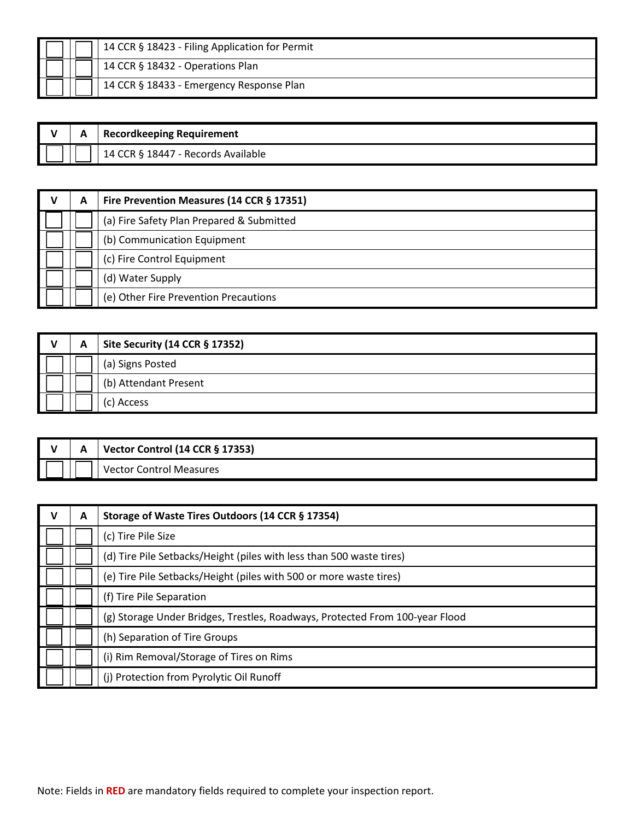|  | 14 CCR § 18423 - Filing Application for Permit |
|--|------------------------------------------------|
|  | 14 CCR § 18432 - Operations Plan               |
|  | 14 CCR § 18433 - Emergency Response Plan       |

| А | Recordkeeping Requirement          |
|---|------------------------------------|
|   | 14 CCR § 18447 - Records Available |

| v | A | Fire Prevention Measures (14 CCR § 17351) |
|---|---|-------------------------------------------|
|   |   | (a) Fire Safety Plan Prepared & Submitted |
|   |   | (b) Communication Equipment               |
|   |   | (c) Fire Control Equipment                |
|   |   | (d) Water Supply                          |
|   |   | (e) Other Fire Prevention Precautions     |

| А | Site Security (14 CCR § 17352) |
|---|--------------------------------|
|   | (a) Signs Posted               |
|   | (b) Attendant Present          |
|   | (c) Access                     |

| `' | А | Vector Control (14 CCR § 17353) |
|----|---|---------------------------------|
|    |   | Vector Control Measures         |

| v | A | Storage of Waste Tires Outdoors (14 CCR § 17354)                             |
|---|---|------------------------------------------------------------------------------|
|   |   | (c) Tire Pile Size                                                           |
|   |   | (d) Tire Pile Setbacks/Height (piles with less than 500 waste tires)         |
|   |   | (e) Tire Pile Setbacks/Height (piles with 500 or more waste tires)           |
|   |   | (f) Tire Pile Separation                                                     |
|   |   | (g) Storage Under Bridges, Trestles, Roadways, Protected From 100-year Flood |
|   |   | (h) Separation of Tire Groups                                                |
|   |   | (i) Rim Removal/Storage of Tires on Rims                                     |
|   |   | (j) Protection from Pyrolytic Oil Runoff                                     |